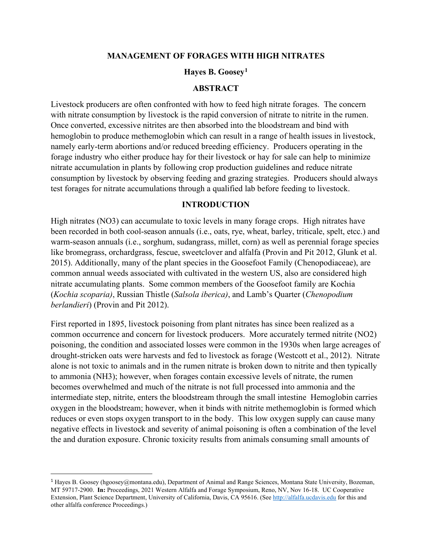### **MANAGEMENT OF FORAGES WITH HIGH NITRATES**

### **Hayes B. Goosey[1](#page-0-0)**

#### **ABSTRACT**

Livestock producers are often confronted with how to feed high nitrate forages. The concern with nitrate consumption by livestock is the rapid conversion of nitrate to nitrite in the rumen. Once converted, excessive nitrites are then absorbed into the bloodstream and bind with hemoglobin to produce methemoglobin which can result in a range of health issues in livestock, namely early-term abortions and/or reduced breeding efficiency. Producers operating in the forage industry who either produce hay for their livestock or hay for sale can help to minimize nitrate accumulation in plants by following crop production guidelines and reduce nitrate consumption by livestock by observing feeding and grazing strategies. Producers should always test forages for nitrate accumulations through a qualified lab before feeding to livestock.

### **INTRODUCTION**

High nitrates (NO3) can accumulate to toxic levels in many forage crops. High nitrates have been recorded in both cool-season annuals (i.e., oats, rye, wheat, barley, triticale, spelt, etcc.) and warm-season annuals (i.e., sorghum, sudangrass, millet, corn) as well as perennial forage species like bromegrass, orchardgrass, fescue, sweetclover and alfalfa (Provin and Pit 2012, Glunk et al. 2015). Additionally, many of the plant species in the Goosefoot Family (Chenopodiaceae), are common annual weeds associated with cultivated in the western US, also are considered high nitrate accumulating plants. Some common members of the Goosefoot family are Kochia (*Kochia scoparia)*, Russian Thistle (*Salsola iberica)*, and Lamb's Quarter (*Chenopodium berlandieri*) (Provin and Pit 2012).

First reported in 1895, livestock poisoning from plant nitrates has since been realized as a common occurrence and concern for livestock producers. More accurately termed nitrite (NO2) poisoning, the condition and associated losses were common in the 1930s when large acreages of drought-stricken oats were harvests and fed to livestock as forage (Westcott et al., 2012). Nitrate alone is not toxic to animals and in the rumen nitrate is broken down to nitrite and then typically to ammonia (NH3); however, when forages contain excessive levels of nitrate, the rumen becomes overwhelmed and much of the nitrate is not full processed into ammonia and the intermediate step, nitrite, enters the bloodstream through the small intestine Hemoglobin carries oxygen in the bloodstream; however, when it binds with nitrite methemoglobin is formed which reduces or even stops oxygen transport to in the body. This low oxygen supply can cause many negative effects in livestock and severity of animal poisoning is often a combination of the level the and duration exposure. Chronic toxicity results from animals consuming small amounts of

<span id="page-0-0"></span><sup>&</sup>lt;sup>1</sup> Hayes B. Goosey (hgoosey@montana.edu), Department of Animal and Range Sciences, Montana State University, Bozeman, MT 59717-2900. **In:** Proceedings, 2021 Western Alfalfa and Forage Symposium, Reno, NV, Nov 16-18. UC Cooperative Extension, Plant Science Department, University of California, Davis, CA 95616. (See [http://alfalfa.ucdavis.edu](http://alfalfa.ucdavis.edu/) for this and other alfalfa conference Proceedings.)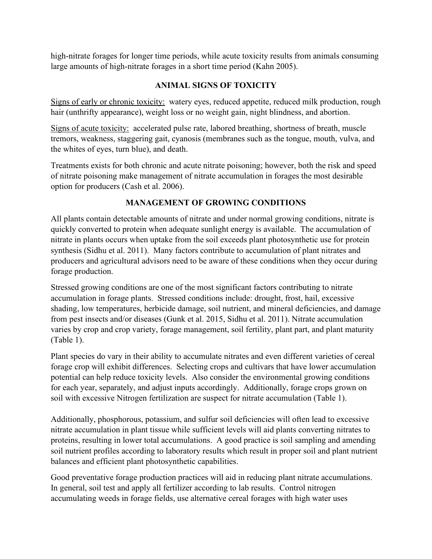high-nitrate forages for longer time periods, while acute toxicity results from animals consuming large amounts of high-nitrate forages in a short time period (Kahn 2005).

# **ANIMAL SIGNS OF TOXICITY**

Signs of early or chronic toxicity: watery eyes, reduced appetite, reduced milk production, rough hair (unthrifty appearance), weight loss or no weight gain, night blindness, and abortion.

Signs of acute toxicity: accelerated pulse rate, labored breathing, shortness of breath, muscle tremors, weakness, staggering gait, cyanosis (membranes such as the tongue, mouth, vulva, and the whites of eyes, turn blue), and death.

Treatments exists for both chronic and acute nitrate poisoning; however, both the risk and speed of nitrate poisoning make management of nitrate accumulation in forages the most desirable option for producers (Cash et al. 2006).

# **MANAGEMENT OF GROWING CONDITIONS**

All plants contain detectable amounts of nitrate and under normal growing conditions, nitrate is quickly converted to protein when adequate sunlight energy is available. The accumulation of nitrate in plants occurs when uptake from the soil exceeds plant photosynthetic use for protein synthesis (Sidhu et al. 2011). Many factors contribute to accumulation of plant nitrates and producers and agricultural advisors need to be aware of these conditions when they occur during forage production.

Stressed growing conditions are one of the most significant factors contributing to nitrate accumulation in forage plants. Stressed conditions include: drought, frost, hail, excessive shading, low temperatures, herbicide damage, soil nutrient, and mineral deficiencies, and damage from pest insects and/or diseases (Gunk et al. 2015, Sidhu et al. 2011). Nitrate accumulation varies by crop and crop variety, forage management, soil fertility, plant part, and plant maturity (Table 1).

Plant species do vary in their ability to accumulate nitrates and even different varieties of cereal forage crop will exhibit differences. Selecting crops and cultivars that have lower accumulation potential can help reduce toxicity levels. Also consider the environmental growing conditions for each year, separately, and adjust inputs accordingly. Additionally, forage crops grown on soil with excessive Nitrogen fertilization are suspect for nitrate accumulation (Table 1).

Additionally, phosphorous, potassium, and sulfur soil deficiencies will often lead to excessive nitrate accumulation in plant tissue while sufficient levels will aid plants converting nitrates to proteins, resulting in lower total accumulations. A good practice is soil sampling and amending soil nutrient profiles according to laboratory results which result in proper soil and plant nutrient balances and efficient plant photosynthetic capabilities.

Good preventative forage production practices will aid in reducing plant nitrate accumulations. In general, soil test and apply all fertilizer according to lab results. Control nitrogen accumulating weeds in forage fields, use alternative cereal forages with high water uses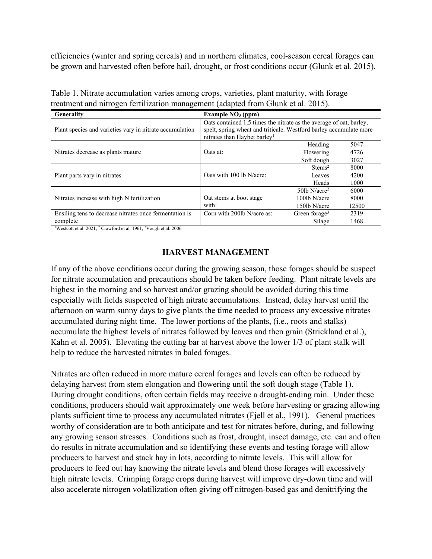efficiencies (winter and spring cereals) and in northern climates, cool-season cereal forages can be grown and harvested often before hail, drought, or frost conditions occur (Glunk et al. 2015).

| Generality                                                          | Example $NO3$ (ppm)                                                                                                                                                                   |                                                             |                       |
|---------------------------------------------------------------------|---------------------------------------------------------------------------------------------------------------------------------------------------------------------------------------|-------------------------------------------------------------|-----------------------|
| Plant species and varieties vary in nitrate accumulation            | Oats contained 1.5 times the nitrate as the average of oat, barley,<br>spelt, spring wheat and triticale. Westford barley accumulate more<br>nitrates than Haybet barley <sup>1</sup> |                                                             |                       |
| Nitrates decrease as plants mature                                  | Oats at:                                                                                                                                                                              | Heading<br>Flowering<br>Soft dough                          | 5047<br>4726<br>3027  |
| Plant parts vary in nitrates                                        | Oats with 100 lb N/acre:                                                                                                                                                              | Stems <sup>2</sup><br>Leaves<br>Heads                       | 8000<br>4200<br>1000  |
| Nitrates increase with high N fertilization                         | Oat stems at boot stage<br>with:                                                                                                                                                      | 50lb $N/(\text{acre}^2)$<br>$100$ lb N/acre<br>150lb N/acre | 6000<br>8000<br>12500 |
| Ensiling tens to decrease nitrates once fermentation is<br>complete | Corn with 2001b N/acre as:                                                                                                                                                            | Green forage <sup>3</sup><br>Silage                         | 2319<br>1468          |

Table 1. Nitrate accumulation varies among crops, varieties, plant maturity, with forage treatment and nitrogen fertilization management (adapted from Glunk et al. 2015).

<sup>1</sup>Westcott et al. 2021; <sup>2</sup> Crawford et al. 1961; <sup>3</sup>Vough et al. 2006

### **HARVEST MANAGEMENT**

If any of the above conditions occur during the growing season, those forages should be suspect for nitrate accumulation and precautions should be taken before feeding. Plant nitrate levels are highest in the morning and so harvest and/or grazing should be avoided during this time especially with fields suspected of high nitrate accumulations. Instead, delay harvest until the afternoon on warm sunny days to give plants the time needed to process any excessive nitrates accumulated during night time. The lower portions of the plants, (i.e., roots and stalks) accumulate the highest levels of nitrates followed by leaves and then grain (Strickland et al.), Kahn et al. 2005). Elevating the cutting bar at harvest above the lower 1/3 of plant stalk will help to reduce the harvested nitrates in baled forages.

Nitrates are often reduced in more mature cereal forages and levels can often be reduced by delaying harvest from stem elongation and flowering until the soft dough stage (Table 1). During drought conditions, often certain fields may receive a drought-ending rain. Under these conditions, producers should wait approximately one week before harvesting or grazing allowing plants sufficient time to process any accumulated nitrates (Fjell et al., 1991). General practices worthy of consideration are to both anticipate and test for nitrates before, during, and following any growing season stresses. Conditions such as frost, drought, insect damage, etc. can and often do results in nitrate accumulation and so identifying these events and testing forage will allow producers to harvest and stack hay in lots, according to nitrate levels. This will allow for producers to feed out hay knowing the nitrate levels and blend those forages will excessively high nitrate levels. Crimping forage crops during harvest will improve dry-down time and will also accelerate nitrogen volatilization often giving off nitrogen-based gas and denitrifying the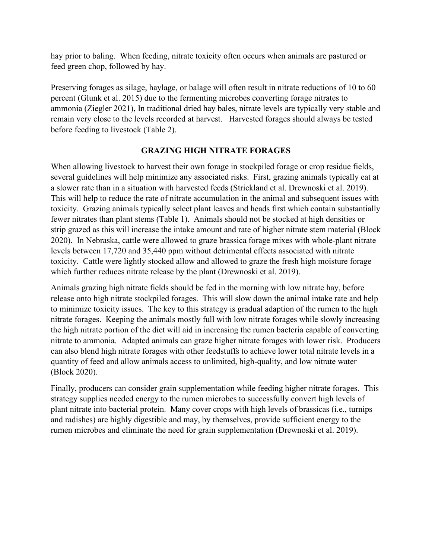hay prior to baling. When feeding, nitrate toxicity often occurs when animals are pastured or feed green chop, followed by hay.

Preserving forages as silage, haylage, or balage will often result in nitrate reductions of 10 to 60 percent (Glunk et al. 2015) due to the fermenting microbes converting forage nitrates to ammonia (Ziegler 2021), In traditional dried hay bales, nitrate levels are typically very stable and remain very close to the levels recorded at harvest. Harvested forages should always be tested before feeding to livestock (Table 2).

## **GRAZING HIGH NITRATE FORAGES**

When allowing livestock to harvest their own forage in stockpiled forage or crop residue fields, several guidelines will help minimize any associated risks. First, grazing animals typically eat at a slower rate than in a situation with harvested feeds (Strickland et al. Drewnoski et al. 2019). This will help to reduce the rate of nitrate accumulation in the animal and subsequent issues with toxicity. Grazing animals typically select plant leaves and heads first which contain substantially fewer nitrates than plant stems (Table 1). Animals should not be stocked at high densities or strip grazed as this will increase the intake amount and rate of higher nitrate stem material (Block 2020). In Nebraska, cattle were allowed to graze brassica forage mixes with whole-plant nitrate levels between 17,720 and 35,440 ppm without detrimental effects associated with nitrate toxicity. Cattle were lightly stocked allow and allowed to graze the fresh high moisture forage which further reduces nitrate release by the plant (Drewnoski et al. 2019).

Animals grazing high nitrate fields should be fed in the morning with low nitrate hay, before release onto high nitrate stockpiled forages. This will slow down the animal intake rate and help to minimize toxicity issues. The key to this strategy is gradual adaption of the rumen to the high nitrate forages. Keeping the animals mostly full with low nitrate forages while slowly increasing the high nitrate portion of the diet will aid in increasing the rumen bacteria capable of converting nitrate to ammonia. Adapted animals can graze higher nitrate forages with lower risk. Producers can also blend high nitrate forages with other feedstuffs to achieve lower total nitrate levels in a quantity of feed and allow animals access to unlimited, high-quality, and low nitrate water (Block 2020).

Finally, producers can consider grain supplementation while feeding higher nitrate forages. This strategy supplies needed energy to the rumen microbes to successfully convert high levels of plant nitrate into bacterial protein. Many cover crops with high levels of brassicas (i.e., turnips and radishes) are highly digestible and may, by themselves, provide sufficient energy to the rumen microbes and eliminate the need for grain supplementation (Drewnoski et al. 2019).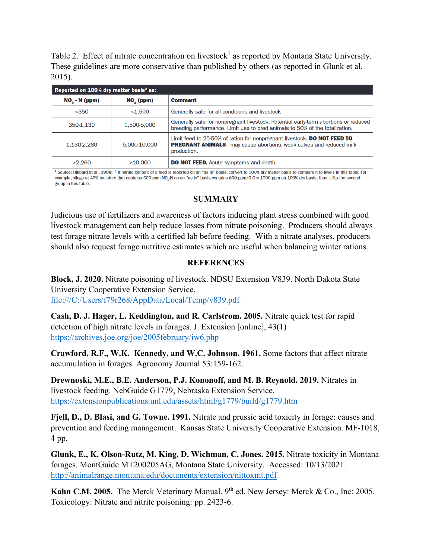Table 2. Effect of nitrate concentration on livestock<sup>1</sup> as reported by Montana State University. These guidelines are more conservative than published by others (as reported in Glunk et al. 2015).

| Reported on 100% dry matter basis <sup>2</sup> as: |              |                                                                                                                                                                        |  |
|----------------------------------------------------|--------------|------------------------------------------------------------------------------------------------------------------------------------------------------------------------|--|
| $NO3$ - N (ppm)                                    | $NOs$ (ppm)  | <b>Comment</b>                                                                                                                                                         |  |
| $<$ 350                                            | < 1.500      | Generally safe for all conditions and livestock                                                                                                                        |  |
| 350-1,130                                          | 1,500-5,000  | Generally safe for nonpregnant livestock. Potential early-term abortions or reduced<br>breeding performance. Limit use to bred animals to 50% of the total ration.     |  |
| 1,130-2,260                                        | 5,000-10,000 | Limit feed to 25-50% of ration for nonpregnant livestock. DO NOT FEED TO<br><b>PREGNANT ANIMALS</b> - may cause abortions, weak calves and reduced milk<br>production. |  |
| >2.260                                             | >10.000      | <b>DO NOT FEED.</b> Acute symptoms and death.                                                                                                                          |  |

<sup>1</sup> Source: Hibbard et al., 1998; <sup>2</sup> If nitrate content of a feed is reported on an "as is" basis, convert to 100% dry matter basis to compare it to levels in this table. For example, silage at 40% moisture that contains 600 ppm NO<sub>3</sub>-N on an "as is" basis contains 600 ppm/0.6 = 1000 ppm on 100% dry basis; thus it fits the second group in this table.

### **SUMMARY**

Judicious use of fertilizers and awareness of factors inducing plant stress combined with good livestock management can help reduce losses from nitrate poisoning. Producers should always test forage nitrate levels with a certified lab before feeding. With a nitrate analyses, producers should also request forage nutritive estimates which are useful when balancing winter rations.

### **REFERENCES**

**Block, J. 2020.** Nitrate poisoning of livestock. NDSU Extension V839. North Dakota State University Cooperative Extension Service. file:///C:/Users/f79r268/AppData/Local/Temp/v839.pdf

**Cash, D. J. Hager, L. Keddington, and R. Carlstrom. 2005.** Nitrate quick test for rapid detection of high nitrate levels in forages. J. Extension [online], 43(1) <https://archives.joe.org/joe/2005february/iw6.php>

**Crawford, R.F., W.K. Kennedy, and W.C. Johnson. 1961.** Some factors that affect nitrate accumulation in forages. Agronomy Journal 53:159-162.

**Drewnoski, M.E., B.E. Anderson, P.J. Kononoff, and M. B. Reynold. 2019.** Nitrates in livestock feeding. NebGuide G1779, Nebraska Extension Service. <https://extensionpublications.unl.edu/assets/html/g1779/build/g1779.htm>

**Fjell, D., D. Blasi, and G. Towne. 1991.** Nitrate and prussic acid toxicity in forage: causes and prevention and feeding management. Kansas State University Cooperative Extension. MF-1018, 4 pp.

**Glunk, E., K. Olson-Rutz, M. King, D. Wichman, C. Jones. 2015.** Nitrate toxicity in Montana forages. MontGuide MT200205AG, Montana State University. Accessed: 10/13/2021. <http://animalrange.montana.edu/documents/extension/nittoxmt.pdf>

Kahn C.M. 2005. The Merck Veterinary Manual. 9<sup>th</sup> ed. New Jersey: Merck & Co., Inc: 2005. Toxicology: Nitrate and nitrite poisoning: pp. 2423-6.